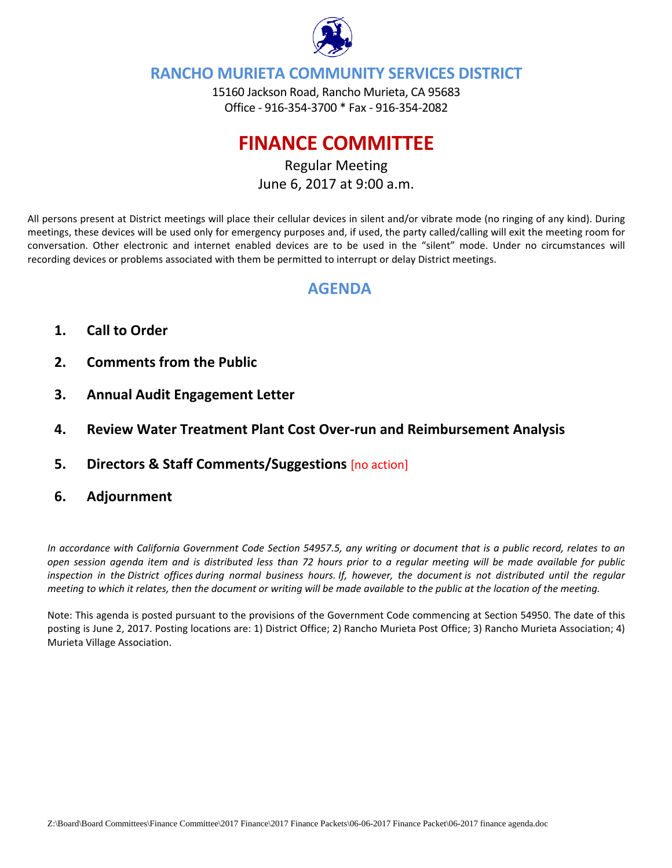

### **RANCHO MURIETA COMMUNITY SERVICES DISTRICT**

15160 Jackson Road, Rancho Murieta, CA 95683 Office ‐ 916‐354‐3700 \* Fax ‐ 916‐354‐2082

# **FINANCE COMMITTEE**

Regular Meeting June 6, 2017 at 9:00 a.m.

All persons present at District meetings will place their cellular devices in silent and/or vibrate mode (no ringing of any kind). During meetings, these devices will be used only for emergency purposes and, if used, the party called/calling will exit the meeting room for conversation. Other electronic and internet enabled devices are to be used in the "silent" mode. Under no circumstances will recording devices or problems associated with them be permitted to interrupt or delay District meetings.

### **AGENDA**

- **1. Call to Order**
- **2. Comments from the Public**
- **3. Annual Audit Engagement Letter**
- **4. Review Water Treatment Plant Cost Over‐run and Reimbursement Analysis**
- **5. Directors & Staff Comments/Suggestions** [no action]
- **6. Adjournment**

In accordance with California Government Code Section 54957.5, any writing or document that is a public record, relates to an open session agenda item and is distributed less than 72 hours prior to a regular meeting will be made available for public inspection in the District offices during normal business hours. If, however, the document is not distributed until the regular meeting to which it relates, then the document or writing will be made available to the public at the location of the meeting.

Note: This agenda is posted pursuant to the provisions of the Government Code commencing at Section 54950. The date of this posting is June 2, 2017. Posting locations are: 1) District Office; 2) Rancho Murieta Post Office; 3) Rancho Murieta Association; 4) Murieta Village Association.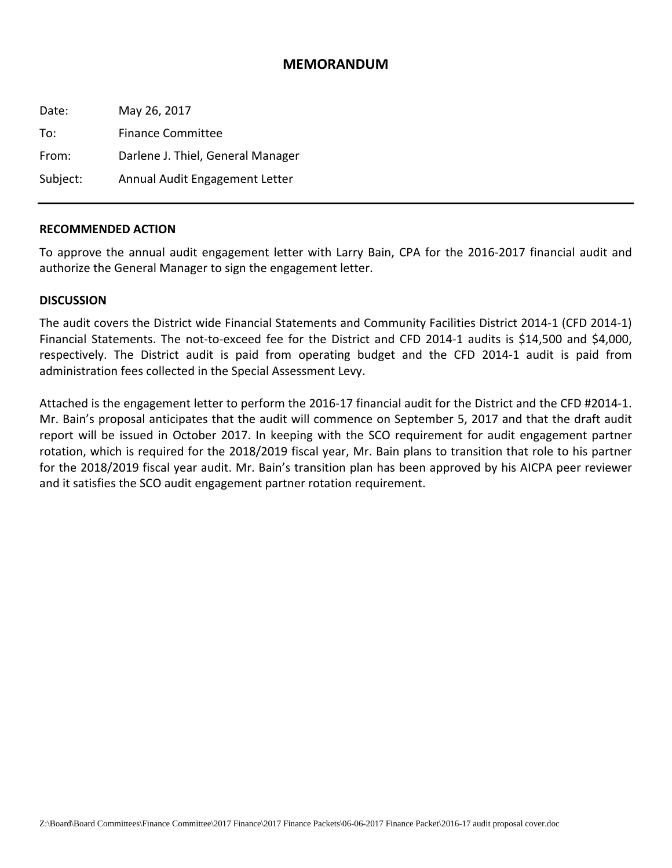#### **MEMORANDUM**

| Date:    | May 26, 2017                      |
|----------|-----------------------------------|
| To:      | <b>Finance Committee</b>          |
| From:    | Darlene J. Thiel, General Manager |
| Subject: | Annual Audit Engagement Letter    |

#### **RECOMMENDED ACTION**

To approve the annual audit engagement letter with Larry Bain, CPA for the 2016‐2017 financial audit and authorize the General Manager to sign the engagement letter.

#### **DISCUSSION**

The audit covers the District wide Financial Statements and Community Facilities District 2014‐1 (CFD 2014‐1) Financial Statements. The not-to-exceed fee for the District and CFD 2014-1 audits is \$14,500 and \$4,000, respectively. The District audit is paid from operating budget and the CFD 2014‐1 audit is paid from administration fees collected in the Special Assessment Levy.

Attached is the engagement letter to perform the 2016‐17 financial audit for the District and the CFD #2014‐1. Mr. Bain's proposal anticipates that the audit will commence on September 5, 2017 and that the draft audit report will be issued in October 2017. In keeping with the SCO requirement for audit engagement partner rotation, which is required for the 2018/2019 fiscal year, Mr. Bain plans to transition that role to his partner for the 2018/2019 fiscal year audit. Mr. Bain's transition plan has been approved by his AICPA peer reviewer and it satisfies the SCO audit engagement partner rotation requirement.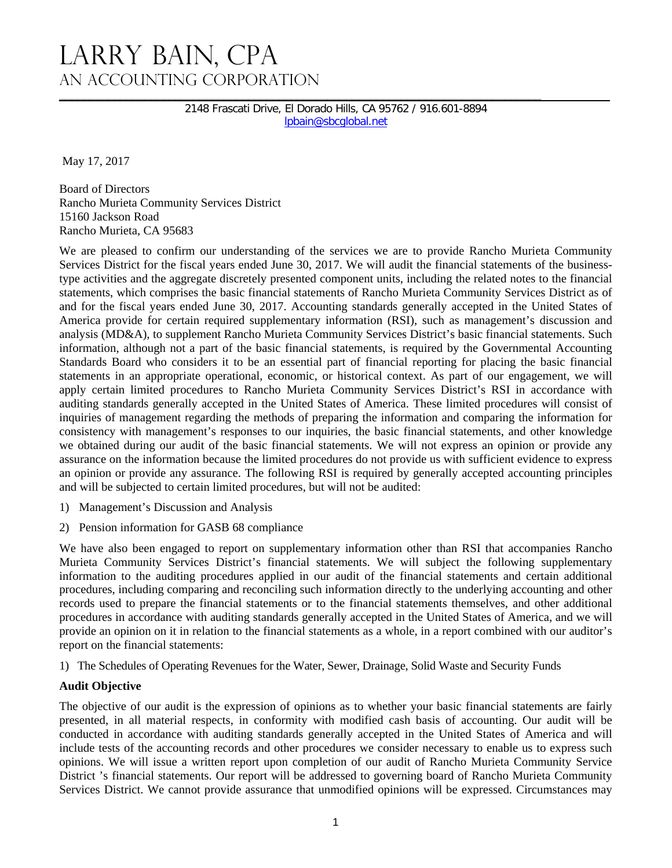2148 Frascati Drive, El Dorado Hills, CA 95762 / 916.601-8894 lpbain@sbcglobal.net

May 17, 2017

Board of Directors Rancho Murieta Community Services District 15160 Jackson Road Rancho Murieta, CA 95683

We are pleased to confirm our understanding of the services we are to provide Rancho Murieta Community Services District for the fiscal years ended June 30, 2017. We will audit the financial statements of the businesstype activities and the aggregate discretely presented component units, including the related notes to the financial statements, which comprises the basic financial statements of Rancho Murieta Community Services District as of and for the fiscal years ended June 30, 2017. Accounting standards generally accepted in the United States of America provide for certain required supplementary information (RSI), such as management's discussion and analysis (MD&A), to supplement Rancho Murieta Community Services District's basic financial statements. Such information, although not a part of the basic financial statements, is required by the Governmental Accounting Standards Board who considers it to be an essential part of financial reporting for placing the basic financial statements in an appropriate operational, economic, or historical context. As part of our engagement, we will apply certain limited procedures to Rancho Murieta Community Services District's RSI in accordance with auditing standards generally accepted in the United States of America. These limited procedures will consist of inquiries of management regarding the methods of preparing the information and comparing the information for consistency with management's responses to our inquiries, the basic financial statements, and other knowledge we obtained during our audit of the basic financial statements. We will not express an opinion or provide any assurance on the information because the limited procedures do not provide us with sufficient evidence to express an opinion or provide any assurance. The following RSI is required by generally accepted accounting principles and will be subjected to certain limited procedures, but will not be audited:

- 1) Management's Discussion and Analysis
- 2) Pension information for GASB 68 compliance

We have also been engaged to report on supplementary information other than RSI that accompanies Rancho Murieta Community Services District's financial statements. We will subject the following supplementary information to the auditing procedures applied in our audit of the financial statements and certain additional procedures, including comparing and reconciling such information directly to the underlying accounting and other records used to prepare the financial statements or to the financial statements themselves, and other additional procedures in accordance with auditing standards generally accepted in the United States of America, and we will provide an opinion on it in relation to the financial statements as a whole, in a report combined with our auditor's report on the financial statements:

1) The Schedules of Operating Revenues for the Water, Sewer, Drainage, Solid Waste and Security Funds

#### **Audit Objective**

The objective of our audit is the expression of opinions as to whether your basic financial statements are fairly presented, in all material respects, in conformity with modified cash basis of accounting. Our audit will be conducted in accordance with auditing standards generally accepted in the United States of America and will include tests of the accounting records and other procedures we consider necessary to enable us to express such opinions. We will issue a written report upon completion of our audit of Rancho Murieta Community Service District 's financial statements. Our report will be addressed to governing board of Rancho Murieta Community Services District. We cannot provide assurance that unmodified opinions will be expressed. Circumstances may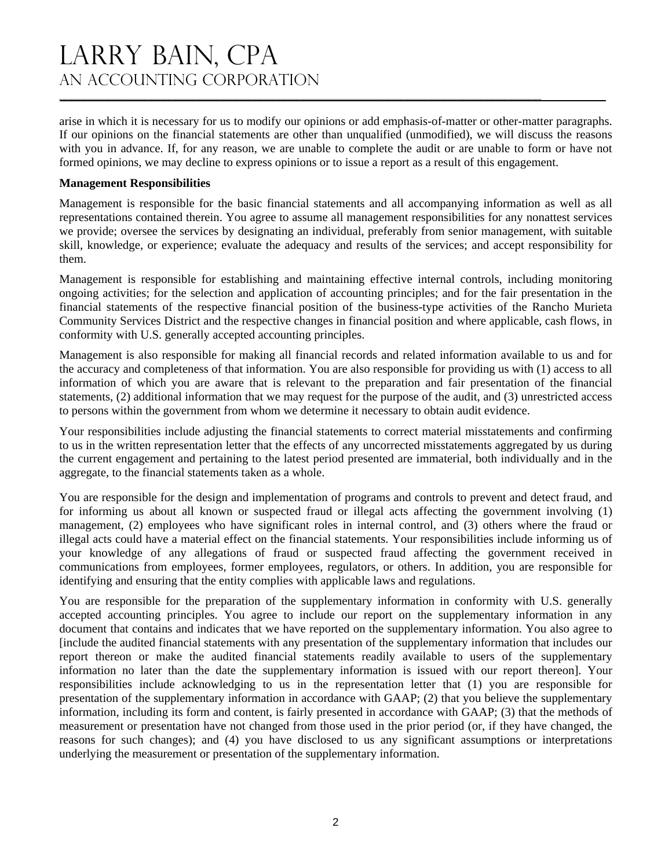# LARRY BAIN, CPA An Accounting Corporation

arise in which it is necessary for us to modify our opinions or add emphasis-of-matter or other-matter paragraphs. If our opinions on the financial statements are other than unqualified (unmodified), we will discuss the reasons with you in advance. If, for any reason, we are unable to complete the audit or are unable to form or have not formed opinions, we may decline to express opinions or to issue a report as a result of this engagement.

**\_\_\_\_\_\_\_\_\_\_\_\_\_\_\_\_\_\_\_\_\_\_\_\_\_\_\_\_\_\_\_\_\_\_\_\_\_\_\_\_\_\_\_\_\_\_\_\_\_\_\_\_\_\_\_\_\_\_\_\_\_\_\_\_\_\_\_\_\_\_\_\_\_\_\_\_\_\_\_** 

#### **Management Responsibilities**

Management is responsible for the basic financial statements and all accompanying information as well as all representations contained therein. You agree to assume all management responsibilities for any nonattest services we provide; oversee the services by designating an individual, preferably from senior management, with suitable skill, knowledge, or experience; evaluate the adequacy and results of the services; and accept responsibility for them.

Management is responsible for establishing and maintaining effective internal controls, including monitoring ongoing activities; for the selection and application of accounting principles; and for the fair presentation in the financial statements of the respective financial position of the business-type activities of the Rancho Murieta Community Services District and the respective changes in financial position and where applicable, cash flows, in conformity with U.S. generally accepted accounting principles.

Management is also responsible for making all financial records and related information available to us and for the accuracy and completeness of that information. You are also responsible for providing us with (1) access to all information of which you are aware that is relevant to the preparation and fair presentation of the financial statements, (2) additional information that we may request for the purpose of the audit, and (3) unrestricted access to persons within the government from whom we determine it necessary to obtain audit evidence.

Your responsibilities include adjusting the financial statements to correct material misstatements and confirming to us in the written representation letter that the effects of any uncorrected misstatements aggregated by us during the current engagement and pertaining to the latest period presented are immaterial, both individually and in the aggregate, to the financial statements taken as a whole.

You are responsible for the design and implementation of programs and controls to prevent and detect fraud, and for informing us about all known or suspected fraud or illegal acts affecting the government involving (1) management, (2) employees who have significant roles in internal control, and (3) others where the fraud or illegal acts could have a material effect on the financial statements. Your responsibilities include informing us of your knowledge of any allegations of fraud or suspected fraud affecting the government received in communications from employees, former employees, regulators, or others. In addition, you are responsible for identifying and ensuring that the entity complies with applicable laws and regulations.

You are responsible for the preparation of the supplementary information in conformity with U.S. generally accepted accounting principles. You agree to include our report on the supplementary information in any document that contains and indicates that we have reported on the supplementary information. You also agree to [include the audited financial statements with any presentation of the supplementary information that includes our report thereon or make the audited financial statements readily available to users of the supplementary information no later than the date the supplementary information is issued with our report thereon]. Your responsibilities include acknowledging to us in the representation letter that (1) you are responsible for presentation of the supplementary information in accordance with GAAP; (2) that you believe the supplementary information, including its form and content, is fairly presented in accordance with GAAP; (3) that the methods of measurement or presentation have not changed from those used in the prior period (or, if they have changed, the reasons for such changes); and (4) you have disclosed to us any significant assumptions or interpretations underlying the measurement or presentation of the supplementary information.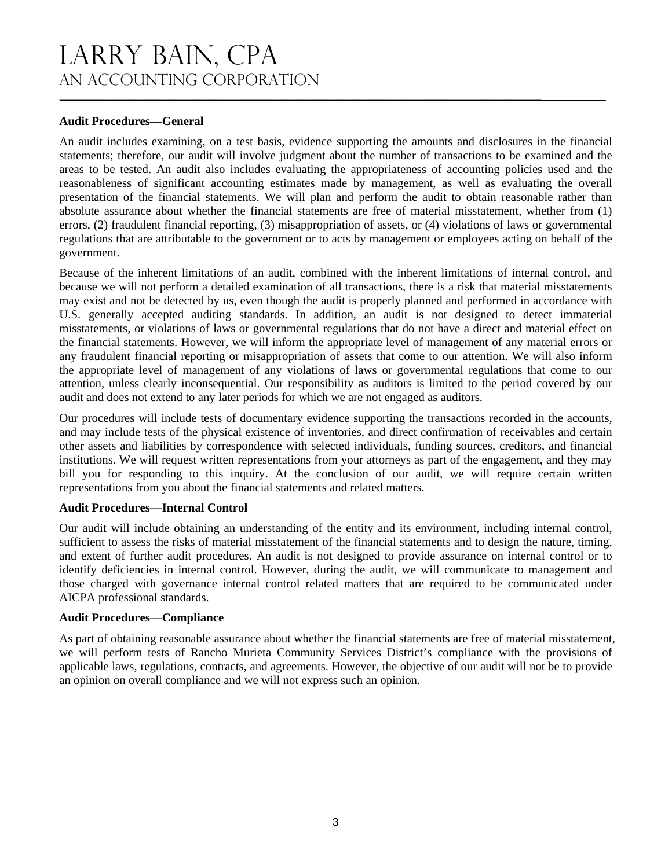#### **Audit Procedures—General**

An audit includes examining, on a test basis, evidence supporting the amounts and disclosures in the financial statements; therefore, our audit will involve judgment about the number of transactions to be examined and the areas to be tested. An audit also includes evaluating the appropriateness of accounting policies used and the reasonableness of significant accounting estimates made by management, as well as evaluating the overall presentation of the financial statements. We will plan and perform the audit to obtain reasonable rather than absolute assurance about whether the financial statements are free of material misstatement, whether from (1) errors, (2) fraudulent financial reporting, (3) misappropriation of assets, or (4) violations of laws or governmental regulations that are attributable to the government or to acts by management or employees acting on behalf of the government.

Because of the inherent limitations of an audit, combined with the inherent limitations of internal control, and because we will not perform a detailed examination of all transactions, there is a risk that material misstatements may exist and not be detected by us, even though the audit is properly planned and performed in accordance with U.S. generally accepted auditing standards. In addition, an audit is not designed to detect immaterial misstatements, or violations of laws or governmental regulations that do not have a direct and material effect on the financial statements. However, we will inform the appropriate level of management of any material errors or any fraudulent financial reporting or misappropriation of assets that come to our attention. We will also inform the appropriate level of management of any violations of laws or governmental regulations that come to our attention, unless clearly inconsequential. Our responsibility as auditors is limited to the period covered by our audit and does not extend to any later periods for which we are not engaged as auditors.

Our procedures will include tests of documentary evidence supporting the transactions recorded in the accounts, and may include tests of the physical existence of inventories, and direct confirmation of receivables and certain other assets and liabilities by correspondence with selected individuals, funding sources, creditors, and financial institutions. We will request written representations from your attorneys as part of the engagement, and they may bill you for responding to this inquiry. At the conclusion of our audit, we will require certain written representations from you about the financial statements and related matters.

#### **Audit Procedures—Internal Control**

Our audit will include obtaining an understanding of the entity and its environment, including internal control, sufficient to assess the risks of material misstatement of the financial statements and to design the nature, timing, and extent of further audit procedures. An audit is not designed to provide assurance on internal control or to identify deficiencies in internal control. However, during the audit, we will communicate to management and those charged with governance internal control related matters that are required to be communicated under AICPA professional standards.

#### **Audit Procedures—Compliance**

As part of obtaining reasonable assurance about whether the financial statements are free of material misstatement, we will perform tests of Rancho Murieta Community Services District's compliance with the provisions of applicable laws, regulations, contracts, and agreements. However, the objective of our audit will not be to provide an opinion on overall compliance and we will not express such an opinion.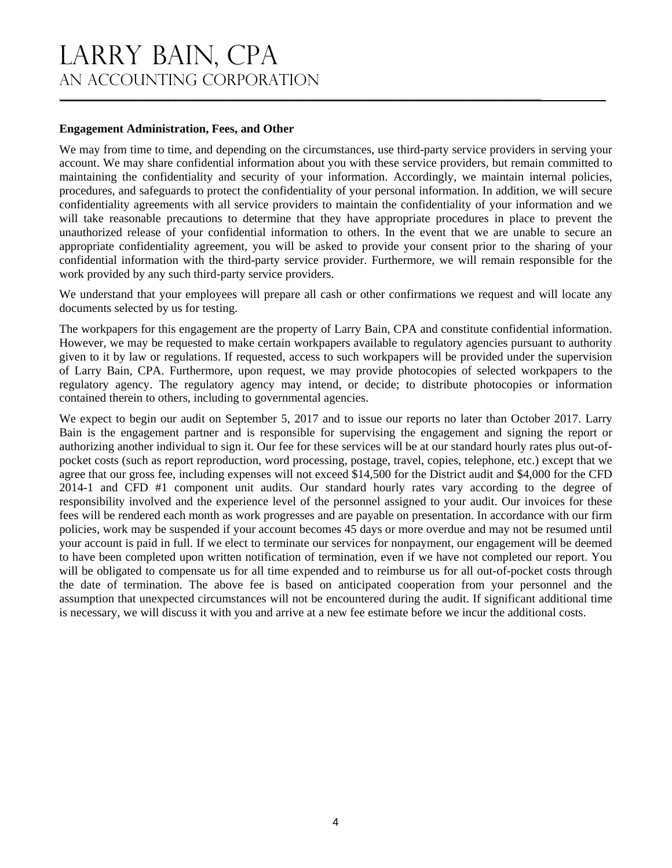#### **Engagement Administration, Fees, and Other**

We may from time to time, and depending on the circumstances, use third-party service providers in serving your account. We may share confidential information about you with these service providers, but remain committed to maintaining the confidentiality and security of your information. Accordingly, we maintain internal policies, procedures, and safeguards to protect the confidentiality of your personal information. In addition, we will secure confidentiality agreements with all service providers to maintain the confidentiality of your information and we will take reasonable precautions to determine that they have appropriate procedures in place to prevent the unauthorized release of your confidential information to others. In the event that we are unable to secure an appropriate confidentiality agreement, you will be asked to provide your consent prior to the sharing of your confidential information with the third-party service provider. Furthermore, we will remain responsible for the work provided by any such third-party service providers.

We understand that your employees will prepare all cash or other confirmations we request and will locate any documents selected by us for testing.

The workpapers for this engagement are the property of Larry Bain, CPA and constitute confidential information. However, we may be requested to make certain workpapers available to regulatory agencies pursuant to authority given to it by law or regulations. If requested, access to such workpapers will be provided under the supervision of Larry Bain, CPA. Furthermore, upon request, we may provide photocopies of selected workpapers to the regulatory agency. The regulatory agency may intend, or decide; to distribute photocopies or information contained therein to others, including to governmental agencies.

We expect to begin our audit on September 5, 2017 and to issue our reports no later than October 2017. Larry Bain is the engagement partner and is responsible for supervising the engagement and signing the report or authorizing another individual to sign it. Our fee for these services will be at our standard hourly rates plus out-ofpocket costs (such as report reproduction, word processing, postage, travel, copies, telephone, etc.) except that we agree that our gross fee, including expenses will not exceed \$14,500 for the District audit and \$4,000 for the CFD 2014-1 and CFD #1 component unit audits. Our standard hourly rates vary according to the degree of responsibility involved and the experience level of the personnel assigned to your audit. Our invoices for these fees will be rendered each month as work progresses and are payable on presentation. In accordance with our firm policies, work may be suspended if your account becomes 45 days or more overdue and may not be resumed until your account is paid in full. If we elect to terminate our services for nonpayment, our engagement will be deemed to have been completed upon written notification of termination, even if we have not completed our report. You will be obligated to compensate us for all time expended and to reimburse us for all out-of-pocket costs through the date of termination. The above fee is based on anticipated cooperation from your personnel and the assumption that unexpected circumstances will not be encountered during the audit. If significant additional time is necessary, we will discuss it with you and arrive at a new fee estimate before we incur the additional costs.